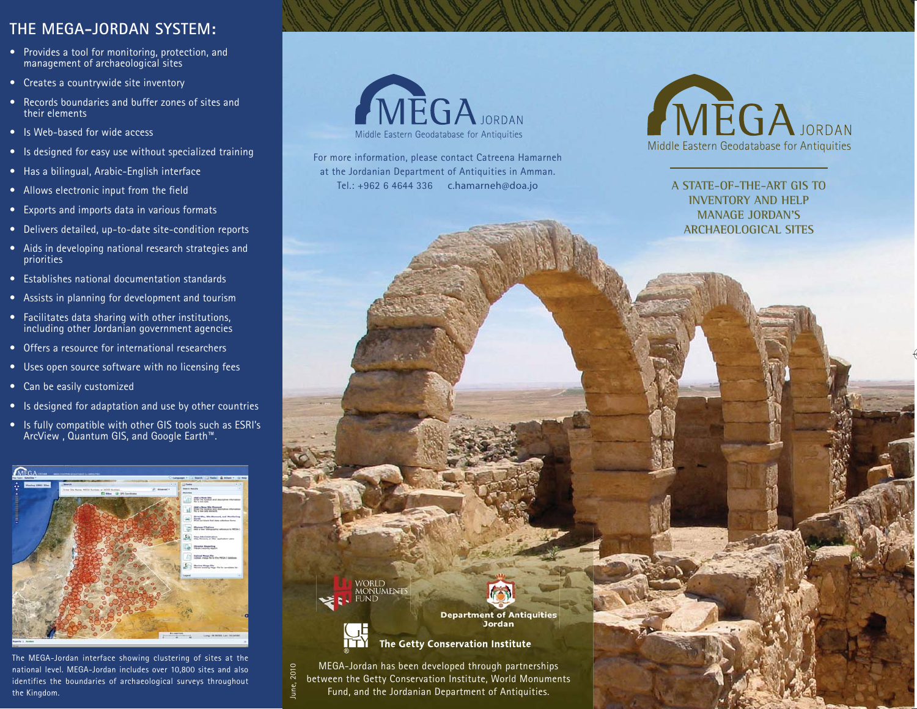## **THE MEGA-JORDAN SYSTEM:**

- Provides a tool for monitoring, protection, and management of archaeological sites
- Creates a countrywide site inventory
- Records boundaries and buffer zones of sites and their elements
- Is Web-based for wide access
- Is designed for easy use without specialized training
- Has a bilingual, Arabic-English interface
- Allows electronic input from the field
- Exports and imports data in various formats
- Delivers detailed, up-to-date site-condition reports
- Aids in developing national research strategies and priorities
- Establishes national documentation standards
- Assists in planning for development and tourism
- Facilitates data sharing with other institutions, including other Jordanian government agencies
- Offers a resource for international researchers
- Uses open source software with no licensing fees
- Can be easily customized
- Is designed for adaptation and use by other countries
- Is fully compatible with other GIS tools such as ESRI's ArcView , Quantum GIS, and Google Earth™.



The MEGA-Jordan interface showing clustering of sites at the national level. MEGA-Jordan includes over 10,800 sites and also identifies the boundaries of archaeological surveys throughout the Kingdom.



For more information, please contact Catreena Hamarneh at the Jordanian Department of Antiquities in Amman. Tel.: +962 6 4644 336 c.hamarneh@doa.jo



**A STATE-OF-THE-ART GIS TO INVENTORY AND HELP MANAGE JORDAN'S ARCHAEOLOGICAL SITES** 

**Department of Antiquities Jordan** 



WORLD<br>MONUMENTS<br>FUND

The Getty Conservation Institute

MEGA-Jordan has been developed through partnerships between the Getty Conservation Institute, World Monuments Fund, and the Jordanian Department of Antiquities. June, 2010